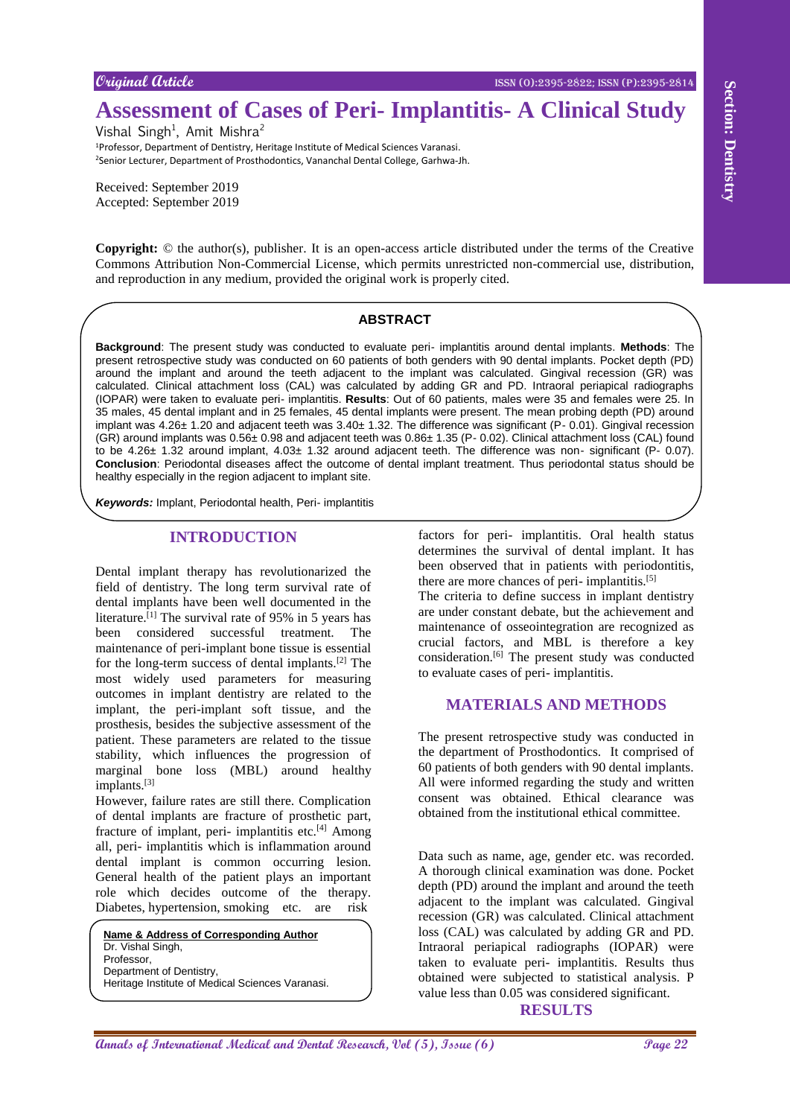# **Assessment of Cases of Peri- Implantitis- A Clinical Study**

Vishal Singh<sup>1</sup>, Amit Mishra<sup>2</sup> <sup>1</sup>Professor, Department of Dentistry, Heritage Institute of Medical Sciences Varanasi. <sup>2</sup>Senior Lecturer, Department of Prosthodontics, Vananchal Dental College, Garhwa-Jh.

Received: September 2019 Accepted: September 2019

**Copyright:** © the author(s), publisher. It is an open-access article distributed under the terms of the Creative Commons Attribution Non-Commercial License, which permits unrestricted non-commercial use, distribution, and reproduction in any medium, provided the original work is properly cited.

#### **ABSTRACT**

**Assume the control of Cases of Peri-Implantities-A Clinical Study<br>
Yank September 2018<br>
Yank September 2019<br>
Yank Mehris of Dentistry and Medical Annals of the control of the control of the control of the control of the c Background**: The present study was conducted to evaluate peri- implantitis around dental implants. **Methods**: The present retrospective study was conducted on 60 patients of both genders with 90 dental implants. Pocket depth (PD) around the implant and around the teeth adjacent to the implant was calculated. Gingival recession (GR) was calculated. Clinical attachment loss (CAL) was calculated by adding GR and PD. Intraoral periapical radiographs (IOPAR) were taken to evaluate peri- implantitis. **Results**: Out of 60 patients, males were 35 and females were 25. In 35 males, 45 dental implant and in 25 females, 45 dental implants were present. The mean probing depth (PD) around implant was 4.26± 1.20 and adjacent teeth was 3.40± 1.32. The difference was significant (P- 0.01). Gingival recession (GR) around implants was 0.56± 0.98 and adjacent teeth was 0.86± 1.35 (P- 0.02). Clinical attachment loss (CAL) found to be 4.26± 1.32 around implant, 4.03± 1.32 around adjacent teeth. The difference was non- significant (P- 0.07). **Conclusion**: Periodontal diseases affect the outcome of dental implant treatment. Thus periodontal status should be healthy especially in the region adjacent to implant site.

*Keywords:* Implant, Periodontal health, Peri- implantitis

#### **INTRODUCTION**

Dental implant therapy has revolutionarized the field of dentistry. The long term survival rate of dental implants have been well documented in the literature.<sup>[1]</sup> The survival rate of 95% in 5 years has been considered successful treatment. The maintenance of peri-implant bone tissue is essential for the long-term success of dental implants.[2] The most widely used parameters for measuring outcomes in implant dentistry are related to the implant, the peri-implant soft tissue, and the prosthesis, besides the subjective assessment of the patient. These parameters are related to the tissue stability, which influences the progression of marginal bone loss (MBL) around healthy implants.<sup>[3]</sup>

However, failure rates are still there. Complication of dental implants are fracture of prosthetic part, fracture of implant, peri- implantitis etc. $[4]$  Among all, peri- implantitis which is inflammation around dental implant is common occurring lesion. General health of the patient plays an important role which decides outcome of the therapy. Diabetes, hypertension, smoking etc. are risk

**Name & Address of Corresponding Author** Dr. Vishal Singh, **Professor** Department of Dentistry, Heritage Institute of Medical Sciences Varanasi. factors for peri- implantitis. Oral health status determines the survival of dental implant. It has been observed that in patients with periodontitis, there are more chances of peri- implantitis.<sup>[5]</sup>

The criteria to define success in implant dentistry are under constant debate, but the achievement and maintenance of osseointegration are recognized as crucial factors, and MBL is therefore a key consideration.<sup>[6]</sup> The present study was conducted to evaluate cases of peri- implantitis.

# **MATERIALS AND METHODS**

The present retrospective study was conducted in the department of Prosthodontics. It comprised of 60 patients of both genders with 90 dental implants. All were informed regarding the study and written consent was obtained. Ethical clearance was obtained from the institutional ethical committee.

Data such as name, age, gender etc. was recorded. A thorough clinical examination was done. Pocket depth (PD) around the implant and around the teeth adjacent to the implant was calculated. Gingival recession (GR) was calculated. Clinical attachment loss (CAL) was calculated by adding GR and PD. Intraoral periapical radiographs (IOPAR) were taken to evaluate peri- implantitis. Results thus obtained were subjected to statistical analysis. P value less than 0.05 was considered significant.

### **RESULTS**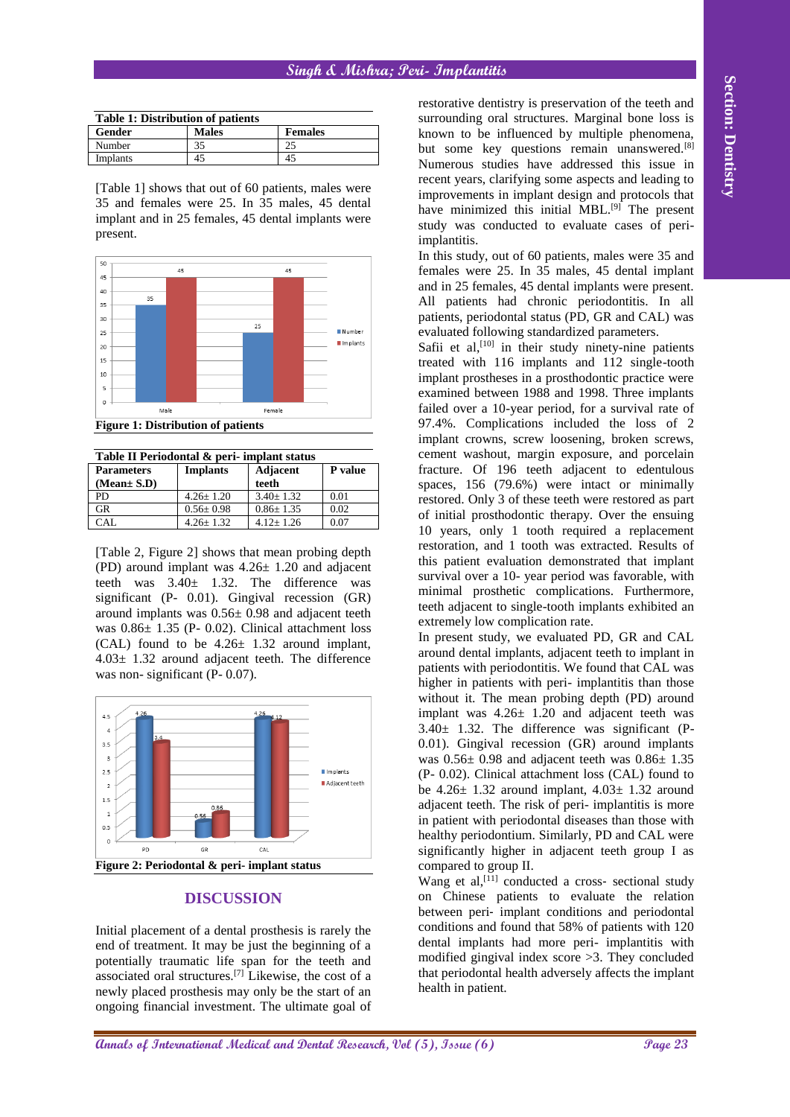### **Singh & Mishra; Peri- Implantitis**

| <b>Table 1: Distribution of patients</b> |              |                |  |  |
|------------------------------------------|--------------|----------------|--|--|
| Gender                                   | <b>Males</b> | <b>Females</b> |  |  |
| Number                                   | 35           | 25             |  |  |
| Implants                                 | 45           | 45             |  |  |

[Table 1] shows that out of 60 patients, males were 35 and females were 25. In 35 males, 45 dental implant and in 25 females, 45 dental implants were present.



**Figure 1: Distribution of patients**

| Table II Periodontal & peri-implant status |                 |                          |         |  |
|--------------------------------------------|-----------------|--------------------------|---------|--|
| <b>Parameters</b><br>(Mean± S.D)           | <b>Implants</b> | <b>Adjacent</b><br>teeth | P value |  |
| PD.                                        | $4.26 + 1.20$   | $3.40 + 1.32$            | 0.01    |  |
| GR                                         | $0.56 \pm 0.98$ | $0.86 \pm 1.35$          | 0.02    |  |
| 'A I                                       | $4.26 + 1.32$   | $4.12 + 1.26$            | 0.07    |  |

[Table 2, Figure 2] shows that mean probing depth (PD) around implant was 4.26± 1.20 and adjacent teeth was 3.40± 1.32. The difference was significant (P- 0.01). Gingival recession (GR) around implants was 0.56± 0.98 and adjacent teeth was 0.86± 1.35 (P- 0.02). Clinical attachment loss (CAL) found to be  $4.26 \pm 1.32$  around implant, 4.03± 1.32 around adjacent teeth. The difference was non- significant (P- 0.07).



# **DISCUSSION**

Initial placement of a dental prosthesis is rarely the end of treatment. It may be just the beginning of a potentially traumatic life span for the teeth and associated oral structures.[7] Likewise, the cost of a newly placed prosthesis may only be the start of an ongoing financial investment. The ultimate goal of restorative dentistry is preservation of the teeth and surrounding oral structures. Marginal bone loss is known to be influenced by multiple phenomena, but some key questions remain unanswered.<sup>[8]</sup> Numerous studies have addressed this issue in recent years, clarifying some aspects and leading to improvements in implant design and protocols that have minimized this initial MBL.<sup>[9]</sup> The present study was conducted to evaluate cases of periimplantitis.

In this study, out of 60 patients, males were 35 and females were 25. In 35 males, 45 dental implant and in 25 females, 45 dental implants were present. All patients had chronic periodontitis. In all patients, periodontal status (PD, GR and CAL) was evaluated following standardized parameters.

**Anals in Figure 1) And**  $\alpha$  **Contenents** (contenent of the spectrum of the spectrum of  $\alpha$  **Page 23 Anally in the spectrum of the spectrum of the spectrum of the spectrum of the spectrum of the spectrum of the spec** Safii et al,<sup>[10]</sup> in their study ninety-nine patients treated with 116 implants and 112 single-tooth implant prostheses in a prosthodontic practice were examined between 1988 and 1998. Three implants failed over a 10-year period, for a survival rate of 97.4%. Complications included the loss of 2 implant crowns, screw loosening, broken screws, cement washout, margin exposure, and porcelain fracture. Of 196 teeth adjacent to edentulous spaces, 156 (79.6%) were intact or minimally restored. Only 3 of these teeth were restored as part of initial prosthodontic therapy. Over the ensuing 10 years, only 1 tooth required a replacement restoration, and 1 tooth was extracted. Results of this patient evaluation demonstrated that implant survival over a 10- year period was favorable, with minimal prosthetic complications. Furthermore, teeth adjacent to single-tooth implants exhibited an extremely low complication rate.

In present study, we evaluated PD, GR and CAL around dental implants, adjacent teeth to implant in patients with periodontitis. We found that CAL was higher in patients with peri- implantitis than those without it. The mean probing depth (PD) around implant was  $4.26 \pm 1.20$  and adjacent teeth was  $3.40 \pm 1.32$ . The difference was significant (P-0.01). Gingival recession (GR) around implants was  $0.56\pm 0.98$  and adjacent teeth was  $0.86\pm 1.35$ (P- 0.02). Clinical attachment loss (CAL) found to be  $4.26 \pm 1.32$  around implant,  $4.03 \pm 1.32$  around adjacent teeth. The risk of peri- implantitis is more in patient with periodontal diseases than those with healthy periodontium. Similarly, PD and CAL were significantly higher in adjacent teeth group I as compared to group II.

Wang et al,<sup>[11]</sup> conducted a cross- sectional study on Chinese patients to evaluate the relation between peri‐ implant conditions and periodontal conditions and found that 58% of patients with 120 dental implants had more peri- implantitis with modified gingival index score >3. They concluded that periodontal health adversely affects the implant health in patient.